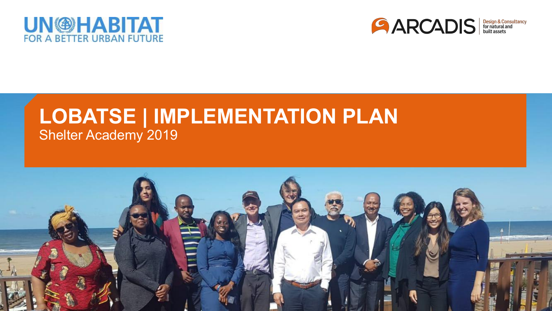



## **LOBATSE | IMPLEMENTATION PLAN** Shelter Academy 2019

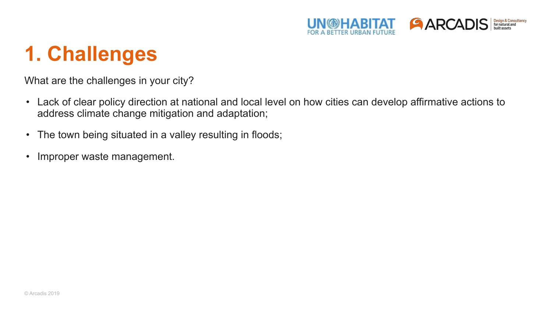

## **1. Challenges**

What are the challenges in your city?

- Lack of clear policy direction at national and local level on how cities can develop affirmative actions to address climate change mitigation and adaptation;
- The town being situated in a valley resulting in floods;
- Improper waste management.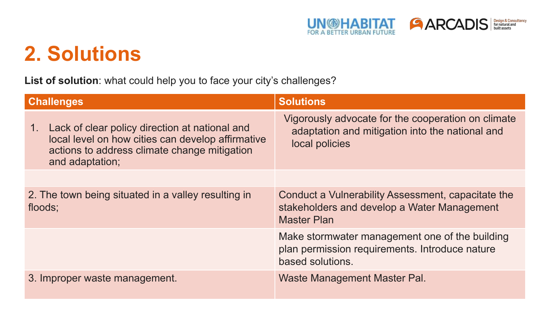

## **2. Solutions**

**List of solution**: what could help you to face your city's challenges?

| <b>Challenges</b>                                                                                                                                                            | <b>Solutions</b>                                                                                                        |
|------------------------------------------------------------------------------------------------------------------------------------------------------------------------------|-------------------------------------------------------------------------------------------------------------------------|
| Lack of clear policy direction at national and<br>1.<br>local level on how cities can develop affirmative<br>actions to address climate change mitigation<br>and adaptation; | Vigorously advocate for the cooperation on climate<br>adaptation and mitigation into the national and<br>local policies |
|                                                                                                                                                                              |                                                                                                                         |
| 2. The town being situated in a valley resulting in<br>floods;                                                                                                               | Conduct a Vulnerability Assessment, capacitate the<br>stakeholders and develop a Water Management<br><b>Master Plan</b> |
|                                                                                                                                                                              | Make stormwater management one of the building<br>plan permission requirements. Introduce nature<br>based solutions.    |
| 3. Improper waste management.                                                                                                                                                | Waste Management Master Pal.                                                                                            |